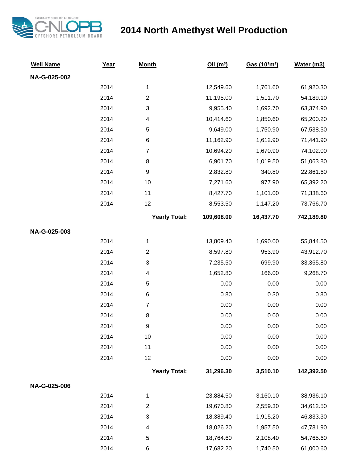

## **2014 North Amethyst Well Production**

| <b>Well Name</b> | Year | <b>Month</b>              | Oil(m <sup>3</sup> ) | Gas (103m3) | Water (m3) |
|------------------|------|---------------------------|----------------------|-------------|------------|
| NA-G-025-002     |      |                           |                      |             |            |
|                  | 2014 | $\mathbf{1}$              | 12,549.60            | 1,761.60    | 61,920.30  |
|                  | 2014 | $\boldsymbol{2}$          | 11,195.00            | 1,511.70    | 54,189.10  |
|                  | 2014 | $\ensuremath{\mathsf{3}}$ | 9,955.40             | 1,692.70    | 63,374.90  |
|                  | 2014 | 4                         | 10,414.60            | 1,850.60    | 65,200.20  |
|                  | 2014 | $\mathbf 5$               | 9,649.00             | 1,750.90    | 67,538.50  |
|                  | 2014 | $\,6$                     | 11,162.90            | 1,612.90    | 71,441.90  |
|                  | 2014 | $\overline{7}$            | 10,694.20            | 1,670.90    | 74,102.00  |
|                  | 2014 | 8                         | 6,901.70             | 1,019.50    | 51,063.80  |
|                  | 2014 | $\boldsymbol{9}$          | 2,832.80             | 340.80      | 22,861.60  |
|                  | 2014 | 10                        | 7,271.60             | 977.90      | 65,392.20  |
|                  | 2014 | 11                        | 8,427.70             | 1,101.00    | 71,338.60  |
|                  | 2014 | 12                        | 8,553.50             | 1,147.20    | 73,766.70  |
|                  |      | <b>Yearly Total:</b>      | 109,608.00           | 16,437.70   | 742,189.80 |
| NA-G-025-003     |      |                           |                      |             |            |
|                  | 2014 | $\mathbf{1}$              | 13,809.40            | 1,690.00    | 55,844.50  |
|                  | 2014 | $\mathbf{2}$              | 8,597.80             | 953.90      | 43,912.70  |
|                  | 2014 | $\ensuremath{\mathsf{3}}$ | 7,235.50             | 699.90      | 33,365.80  |
|                  | 2014 | 4                         | 1,652.80             | 166.00      | 9,268.70   |
|                  | 2014 | $\mathbf 5$               | 0.00                 | 0.00        | 0.00       |
|                  | 2014 | $\,6$                     | 0.80                 | 0.30        | 0.80       |
|                  | 2014 | $\boldsymbol{7}$          | 0.00                 | 0.00        | 0.00       |
|                  | 2014 | 8                         | 0.00                 | 0.00        | 0.00       |
|                  | 2014 | 9                         | 0.00                 | 0.00        | 0.00       |
|                  | 2014 | 10                        | 0.00                 | 0.00        | 0.00       |
|                  | 2014 | 11                        | 0.00                 | 0.00        | 0.00       |
|                  | 2014 | 12                        | 0.00                 | 0.00        | 0.00       |
|                  |      | <b>Yearly Total:</b>      | 31,296.30            | 3,510.10    | 142,392.50 |
| NA-G-025-006     |      |                           |                      |             |            |
|                  | 2014 | $\mathbf{1}$              | 23,884.50            | 3,160.10    | 38,936.10  |
|                  | 2014 | $\boldsymbol{2}$          | 19,670.80            | 2,559.30    | 34,612.50  |
|                  | 2014 | $\ensuremath{\mathsf{3}}$ | 18,389.40            | 1,915.20    | 46,833.30  |
|                  | 2014 | 4                         | 18,026.20            | 1,957.50    | 47,781.90  |
|                  | 2014 | $\mathbf 5$               | 18,764.60            | 2,108.40    | 54,765.60  |
|                  | 2014 | 6                         | 17,682.20            | 1,740.50    | 61,000.60  |